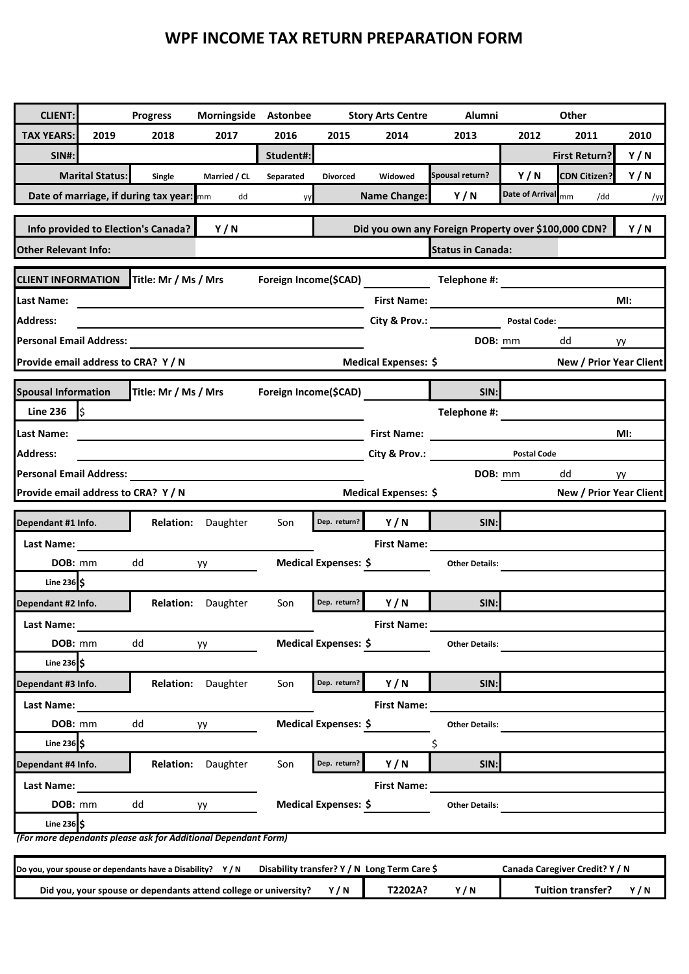## **WPF INCOME TAX RETURN PREPARATION FORM**

| <b>CLIENT:</b>                                          |                        | <b>Progress</b>                                                | Morningside                                                                                                           | Astonbee              |                      | <b>Story Arts Centre</b>                     | Alumni                                               |                        | Other                          |      |
|---------------------------------------------------------|------------------------|----------------------------------------------------------------|-----------------------------------------------------------------------------------------------------------------------|-----------------------|----------------------|----------------------------------------------|------------------------------------------------------|------------------------|--------------------------------|------|
| <b>TAX YEARS:</b>                                       | 2019                   | 2018                                                           | 2017                                                                                                                  | 2016                  | 2015                 | 2014                                         | 2013                                                 | 2012                   | 2011                           | 2010 |
| <b>SIN#:</b>                                            |                        |                                                                |                                                                                                                       | Student#:             |                      |                                              |                                                      |                        | <b>First Return?</b>           | Y/N  |
|                                                         | <b>Marital Status:</b> | Single                                                         | Married / CL                                                                                                          | Separated             | <b>Divorced</b>      | Widowed                                      | Spousal return?                                      | Y/N                    | <b>CDN Citizen?</b>            | Y/N  |
|                                                         |                        | Date of marriage, if during tax year: mm                       | dd                                                                                                                    | yу                    |                      | <b>Name Change:</b>                          | Y/N                                                  | <b>Date of Arrival</b> | mm<br>/dd                      | /уу  |
|                                                         |                        |                                                                |                                                                                                                       |                       |                      |                                              |                                                      |                        |                                |      |
| Info provided to Election's Canada?                     |                        |                                                                | Y/N                                                                                                                   |                       |                      |                                              | Did you own any Foreign Property over \$100,000 CDN? |                        |                                | Y/N  |
| <b>Other Relevant Info:</b><br><b>Status in Canada:</b> |                        |                                                                |                                                                                                                       |                       |                      |                                              |                                                      |                        |                                |      |
| <b>CLIENT INFORMATION</b>                               |                        | Title: Mr / Ms / Mrs                                           |                                                                                                                       |                       |                      | Foreign Income(\$CAD)                        | Telephone #:                                         |                        |                                |      |
| Last Name:                                              |                        |                                                                |                                                                                                                       |                       |                      |                                              | First Name: <u>______________________________</u>    |                        |                                | MI:  |
| <b>Address:</b>                                         |                        |                                                                |                                                                                                                       |                       |                      |                                              | City & Prov.: <b>Example 2</b>                       | <b>Postal Code:</b>    |                                |      |
| Personal Email Address:                                 |                        |                                                                |                                                                                                                       |                       |                      |                                              | DOB: mm                                              |                        | dd                             | yy   |
| Provide email address to CRA? Y / N                     |                        |                                                                |                                                                                                                       |                       |                      | Medical Expenses: \$                         |                                                      |                        | New / Prior Year Client        |      |
|                                                         |                        |                                                                |                                                                                                                       |                       |                      |                                              |                                                      |                        |                                |      |
| <b>Spousal Information</b><br><b>Line 236</b>           |                        | Title: Mr / Ms / Mrs                                           |                                                                                                                       | Foreign Income(\$CAD) |                      |                                              | SIN:                                                 |                        |                                |      |
|                                                         | I\$                    |                                                                |                                                                                                                       |                       |                      |                                              | Telephone #:                                         |                        |                                |      |
| Last Name:                                              |                        |                                                                |                                                                                                                       |                       |                      | <b>First Name:</b>                           |                                                      |                        |                                | MI:  |
| <b>Address:</b>                                         |                        |                                                                | <u> 1989 - Johann Barbara, martin amerikan personal di sebagai personal di sebagai personal di sebagai personal d</u> |                       |                      |                                              | City & Prov.: Postal Code                            |                        |                                |      |
| <b>Personal Email Address:</b>                          |                        |                                                                |                                                                                                                       |                       |                      |                                              | DOB: mm                                              |                        | dd                             | yy   |
| Provide email address to CRA? Y / N                     |                        |                                                                |                                                                                                                       |                       |                      | Medical Expenses: \$                         |                                                      |                        | New / Prior Year Client        |      |
| Dependant #1 Info.                                      |                        |                                                                | Relation: Daughter                                                                                                    | Son                   | Dep. return?         | Y/N                                          | SIN:                                                 |                        |                                |      |
| Last Name:                                              |                        |                                                                |                                                                                                                       |                       |                      | <b>First Name:</b>                           |                                                      |                        |                                |      |
| DOB: mm                                                 |                        | dd                                                             | yy                                                                                                                    |                       | Medical Expenses: \$ |                                              | <b>Other Details:</b>                                |                        |                                |      |
| Line $236$ \$                                           |                        |                                                                |                                                                                                                       |                       |                      |                                              |                                                      |                        |                                |      |
| Dependant #2 Info.                                      |                        |                                                                | <b>Relation:</b> Daughter                                                                                             | Son                   | Dep. return?         | Y/N                                          | SIN:                                                 |                        |                                |      |
| Last Name:                                              |                        |                                                                |                                                                                                                       |                       |                      | <b>First Name:</b>                           |                                                      |                        |                                |      |
| DOB: mm                                                 |                        | dd                                                             | уу                                                                                                                    |                       | Medical Expenses: \$ |                                              | <b>Other Details:</b>                                |                        |                                |      |
| Line $236$ \$                                           |                        |                                                                |                                                                                                                       |                       |                      |                                              |                                                      |                        |                                |      |
| Dependant #3 Info.                                      |                        |                                                                | Relation: Daughter                                                                                                    | Son                   | Dep. return?         | Y/N                                          | SIN:                                                 |                        |                                |      |
| Last Name:                                              |                        |                                                                |                                                                                                                       |                       |                      | <b>First Name:</b>                           |                                                      |                        |                                |      |
| DOB: mm                                                 |                        | dd                                                             | уу                                                                                                                    |                       | Medical Expenses: \$ |                                              | <b>Other Details:</b>                                |                        |                                |      |
| Line 236 $\frac{1}{5}$                                  |                        |                                                                |                                                                                                                       |                       |                      |                                              | \$                                                   |                        |                                |      |
| Dependant #4 Info.                                      |                        |                                                                | Relation: Daughter                                                                                                    | Son                   | Dep. return?         | Y/N                                          | SIN:                                                 |                        |                                |      |
| Last Name:                                              |                        |                                                                |                                                                                                                       |                       |                      | <b>First Name:</b>                           |                                                      |                        |                                |      |
| DOB: mm                                                 |                        | dd                                                             | yy                                                                                                                    |                       | Medical Expenses: \$ |                                              | <b>Other Details:</b>                                |                        |                                |      |
| Line 236 $\frac{1}{5}$                                  |                        | (For more dependants please ask for Additional Dependant Form) |                                                                                                                       |                       |                      |                                              |                                                      |                        |                                |      |
|                                                         |                        |                                                                |                                                                                                                       |                       |                      |                                              |                                                      |                        |                                |      |
|                                                         |                        | Do you, your spouse or dependants have a Disability? Y/N       |                                                                                                                       |                       |                      | Disability transfer? Y / N Long Term Care \$ |                                                      |                        | Canada Caregiver Credit? Y / N |      |

**Did you, your spouse or dependants attend college or university? Y / N T2202A? Y / N Tuition transfer? Y / N**